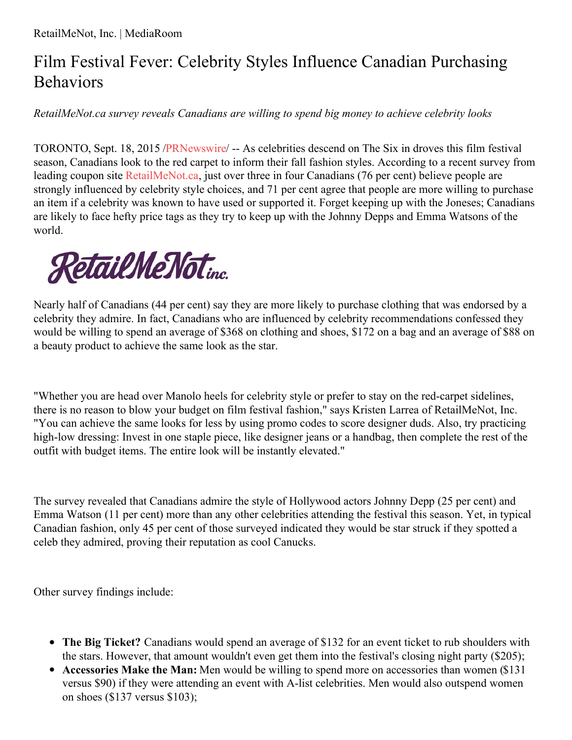## Film Festival Fever: Celebrity Styles Influence Canadian Purchasing Behaviors

*RetailMeNot.ca survey reveals Canadians are willing to spend big money to achieve celebrity looks*

TORONTO, Sept. 18, 2015 [/PRNewswire](http://www.prnewswire.com/)/ -- As celebrities descend on The Six in droves this film festival season, Canadians look to the red carpet to inform their fall fashion styles. According to a recent survey from leading coupon site [RetailMeNot.ca](http://www.retailmenot.ca/), just over three in four Canadians (76 per cent) believe people are strongly influenced by celebrity style choices, and 71 per cent agree that people are more willing to purchase an item if a celebrity was known to have used or supported it. Forget keeping up with the Joneses; Canadians are likely to face hefty price tags as they try to keep up with the Johnny Depps and Emma Watsons of the world.



Nearly half of Canadians (44 per cent) say they are more likely to purchase clothing that was endorsed by a celebrity they admire. In fact, Canadians who are influenced by celebrity recommendations confessed they would be willing to spend an average of \$368 on clothing and shoes, \$172 on a bag and an average of \$88 on a beauty product to achieve the same look as the star.

"Whether you are head over Manolo heels for celebrity style or prefer to stay on the red-carpet sidelines, there is no reason to blow your budget on film festival fashion," says Kristen Larrea of RetailMeNot, Inc. "You can achieve the same looks for less by using promo codes to score designer duds. Also, try practicing high-low dressing: Invest in one staple piece, like designer jeans or a handbag, then complete the rest of the outfit with budget items. The entire look will be instantly elevated."

The survey revealed that Canadians admire the style of Hollywood actors Johnny Depp (25 per cent) and Emma Watson (11 per cent) more than any other celebrities attending the festival this season. Yet, in typical Canadian fashion, only 45 per cent of those surveyed indicated they would be star struck if they spotted a celeb they admired, proving their reputation as cool Canucks.

Other survey findings include:

- **The Big Ticket?** Canadians would spend an average of \$132 for an event ticket to rub shoulders with the stars. However, that amount wouldn't even get them into the festival's closing night party (\$205);
- **Accessories Make the Man:** Men would be willing to spend more on accessories than women (\$131 versus \$90) if they were attending an event with A-list celebrities. Men would also outspend women on shoes (\$137 versus \$103);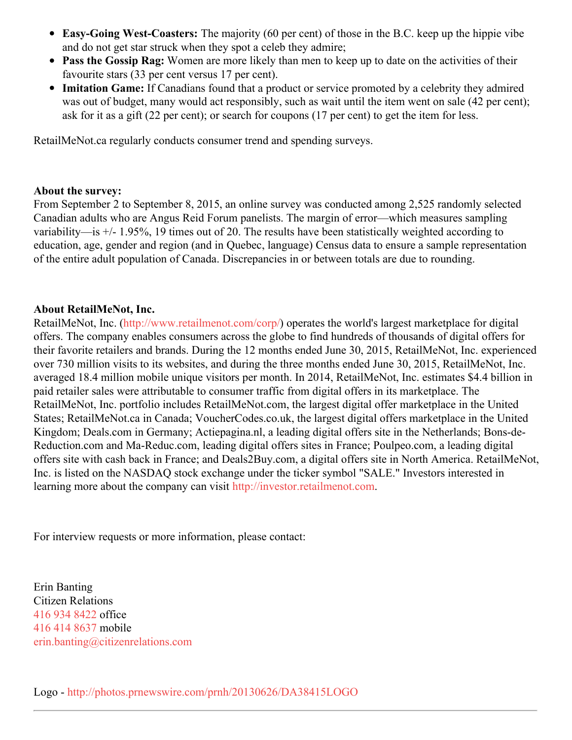- **Easy-Going West-Coasters:** The majority (60 per cent) of those in the B.C. keep up the hippie vibe and do not get star struck when they spot a celeb they admire;
- **Pass the Gossip Rag:** Women are more likely than men to keep up to date on the activities of their favourite stars (33 per cent versus 17 per cent).
- **Imitation Game:** If Canadians found that a product or service promoted by a celebrity they admired was out of budget, many would act responsibly, such as wait until the item went on sale (42 per cent); ask for it as a gift (22 per cent); or search for coupons (17 per cent) to get the item for less.

RetailMeNot.ca regularly conducts consumer trend and spending surveys.

## **About the survey:**

From September 2 to September 8, 2015, an online survey was conducted among 2,525 randomly selected Canadian adults who are Angus Reid Forum panelists. The margin of error—which measures sampling variability—is +/- 1.95%, 19 times out of 20. The results have been statistically weighted according to education, age, gender and region (and in Quebec, language) Census data to ensure a sample representation of the entire adult population of Canada. Discrepancies in or between totals are due to rounding.

## **About RetailMeNot, Inc.**

RetailMeNot, Inc. [\(http://www.retailmenot.com/corp/](http://www.retailmenot.com/corp/)) operates the world's largest marketplace for digital offers. The company enables consumers across the globe to find hundreds of thousands of digital offers for their favorite retailers and brands. During the 12 months ended June 30, 2015, RetailMeNot, Inc. experienced over 730 million visits to its websites, and during the three months ended June 30, 2015, RetailMeNot, Inc. averaged 18.4 million mobile unique visitors per month. In 2014, RetailMeNot, Inc. estimates \$4.4 billion in paid retailer sales were attributable to consumer traffic from digital offers in its marketplace. The RetailMeNot, Inc. portfolio includes RetailMeNot.com, the largest digital offer marketplace in the United States; RetailMeNot.ca in Canada; VoucherCodes.co.uk, the largest digital offers marketplace in the United Kingdom; Deals.com in Germany; Actiepagina.nl, a leading digital offers site in the Netherlands; Bons-de-Reduction.com and Ma-Reduc.com, leading digital offers sites in France; Poulpeo.com, a leading digital offers site with cash back in France; and Deals2Buy.com, a digital offers site in North America. RetailMeNot, Inc. is listed on the NASDAQ stock exchange under the ticker symbol "SALE." Investors interested in learning more about the company can visit [http://investor.retailmenot.com](http://investor.retailmenot.com/).

For interview requests or more information, please contact:

Erin Banting Citizen Relations 416 934 [8422](tel:416 934 8422) office 416 414 [8637](tel:416 414 8637) mobile [erin.banting@citizenrelations.com](mailto:erin.banting@citizenrelations.com)